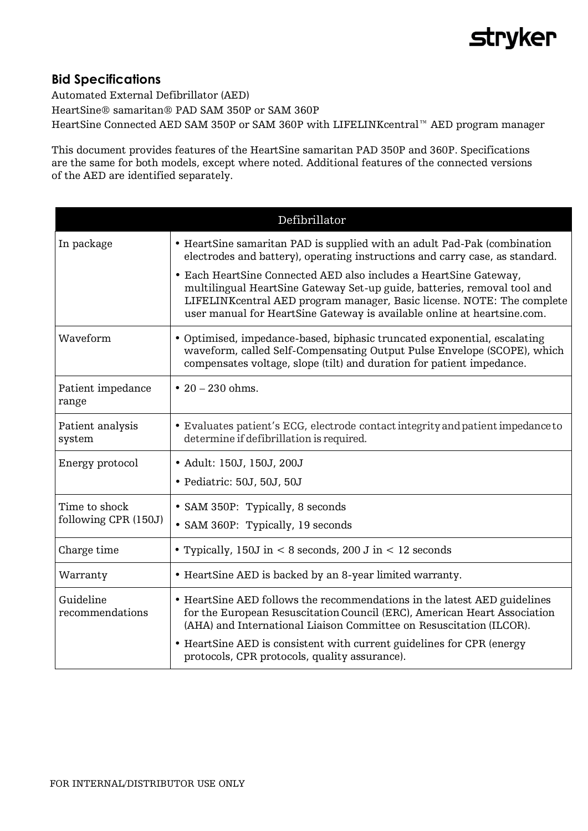## **stryker**

## **Bid Specifications**

Automated External Defibrillator (AED) HeartSine® samaritan® PAD SAM 350P or SAM 360P HeartSine Connected AED SAM 350P or SAM 360P with LIFELINKcentral™ AED program manager

This document provides features of the HeartSine samaritan PAD 350P and 360P. Specifications are the same for both models, except where noted. Additional features of the connected versions of the AED are identified separately.

| Defibrillator                         |                                                                                                                                                                                                                                                                                                     |
|---------------------------------------|-----------------------------------------------------------------------------------------------------------------------------------------------------------------------------------------------------------------------------------------------------------------------------------------------------|
| In package                            | • HeartSine samaritan PAD is supplied with an adult Pad-Pak (combination<br>electrodes and battery), operating instructions and carry case, as standard.                                                                                                                                            |
|                                       | • Each HeartSine Connected AED also includes a HeartSine Gateway,<br>multilingual HeartSine Gateway Set-up guide, batteries, removal tool and<br>LIFELINK central AED program manager, Basic license. NOTE: The complete<br>user manual for HeartSine Gateway is available online at heartsine.com. |
| Waveform                              | • Optimised, impedance-based, biphasic truncated exponential, escalating<br>waveform, called Self-Compensating Output Pulse Envelope (SCOPE), which<br>compensates voltage, slope (tilt) and duration for patient impedance.                                                                        |
| Patient impedance<br>range            | • $20 - 230$ ohms.                                                                                                                                                                                                                                                                                  |
| Patient analysis<br>system            | • Evaluates patient's ECG, electrode contact integrity and patient impedance to<br>determine if defibrillation is required.                                                                                                                                                                         |
| Energy protocol                       | • Adult: 150J, 150J, 200J                                                                                                                                                                                                                                                                           |
|                                       | • Pediatric: 50J, 50J, 50J                                                                                                                                                                                                                                                                          |
| Time to shock<br>following CPR (150J) | • SAM 350P: Typically, 8 seconds                                                                                                                                                                                                                                                                    |
|                                       | • SAM 360P: Typically, 19 seconds                                                                                                                                                                                                                                                                   |
| Charge time                           | • Typically, 150J in $< 8$ seconds, 200 J in $< 12$ seconds                                                                                                                                                                                                                                         |
| Warranty                              | • HeartSine AED is backed by an 8-year limited warranty.                                                                                                                                                                                                                                            |
| Guideline<br>recommendations          | • HeartSine AED follows the recommendations in the latest AED guidelines<br>for the European Resuscitation Council (ERC), American Heart Association<br>(AHA) and International Liaison Committee on Resuscitation (ILCOR).                                                                         |
|                                       | • HeartSine AED is consistent with current guidelines for CPR (energy<br>protocols, CPR protocols, quality assurance).                                                                                                                                                                              |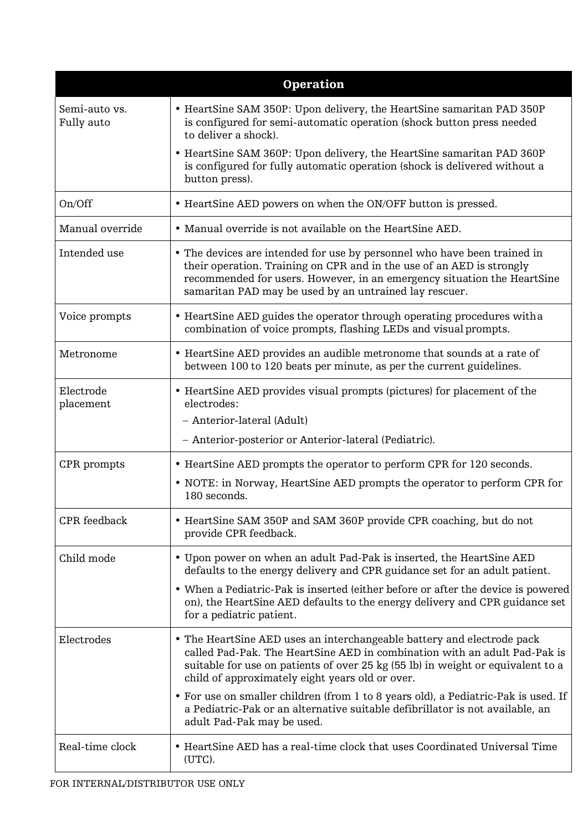| <b>Operation</b>            |                                                                                                                                                                                                                                                                                           |
|-----------------------------|-------------------------------------------------------------------------------------------------------------------------------------------------------------------------------------------------------------------------------------------------------------------------------------------|
| Semi-auto vs.<br>Fully auto | • HeartSine SAM 350P: Upon delivery, the HeartSine samaritan PAD 350P<br>is configured for semi-automatic operation (shock button press needed<br>to deliver a shock).                                                                                                                    |
|                             | • HeartSine SAM 360P: Upon delivery, the HeartSine samaritan PAD 360P<br>is configured for fully automatic operation (shock is delivered without a<br>button press).                                                                                                                      |
| On/Off                      | • HeartSine AED powers on when the ON/OFF button is pressed.                                                                                                                                                                                                                              |
| Manual override             | • Manual override is not available on the HeartSine AED.                                                                                                                                                                                                                                  |
| Intended use                | • The devices are intended for use by personnel who have been trained in<br>their operation. Training on CPR and in the use of an AED is strongly<br>recommended for users. However, in an emergency situation the HeartSine<br>samaritan PAD may be used by an untrained lay rescuer.    |
| Voice prompts               | • HeartSine AED guides the operator through operating procedures with a<br>combination of voice prompts, flashing LEDs and visual prompts.                                                                                                                                                |
| Metronome                   | • HeartSine AED provides an audible metronome that sounds at a rate of<br>between 100 to 120 beats per minute, as per the current guidelines.                                                                                                                                             |
| Electrode<br>placement      | • HeartSine AED provides visual prompts (pictures) for placement of the<br>electrodes:                                                                                                                                                                                                    |
|                             | - Anterior-lateral (Adult)                                                                                                                                                                                                                                                                |
|                             | - Anterior-posterior or Anterior-lateral (Pediatric).                                                                                                                                                                                                                                     |
| CPR prompts                 | • HeartSine AED prompts the operator to perform CPR for 120 seconds.                                                                                                                                                                                                                      |
|                             | • NOTE: in Norway, HeartSine AED prompts the operator to perform CPR for<br>180 seconds.                                                                                                                                                                                                  |
| CPR feedback                | • HeartSine SAM 350P and SAM 360P provide CPR coaching, but do not<br>provide CPR feedback.                                                                                                                                                                                               |
| Child mode                  | • Upon power on when an adult Pad-Pak is inserted, the HeartSine AED<br>defaults to the energy delivery and CPR guidance set for an adult patient.                                                                                                                                        |
|                             | • When a Pediatric-Pak is inserted (either before or after the device is powered<br>on), the HeartSine AED defaults to the energy delivery and CPR guidance set<br>for a pediatric patient.                                                                                               |
| Electrodes                  | • The HeartSine AED uses an interchangeable battery and electrode pack<br>called Pad-Pak. The HeartSine AED in combination with an adult Pad-Pak is<br>suitable for use on patients of over 25 kg (55 lb) in weight or equivalent to a<br>child of approximately eight years old or over. |
|                             | • For use on smaller children (from 1 to 8 years old), a Pediatric-Pak is used. If<br>a Pediatric-Pak or an alternative suitable defibrillator is not available, an<br>adult Pad-Pak may be used.                                                                                         |
| Real-time clock             | • HeartSine AED has a real-time clock that uses Coordinated Universal Time<br>(UTC).                                                                                                                                                                                                      |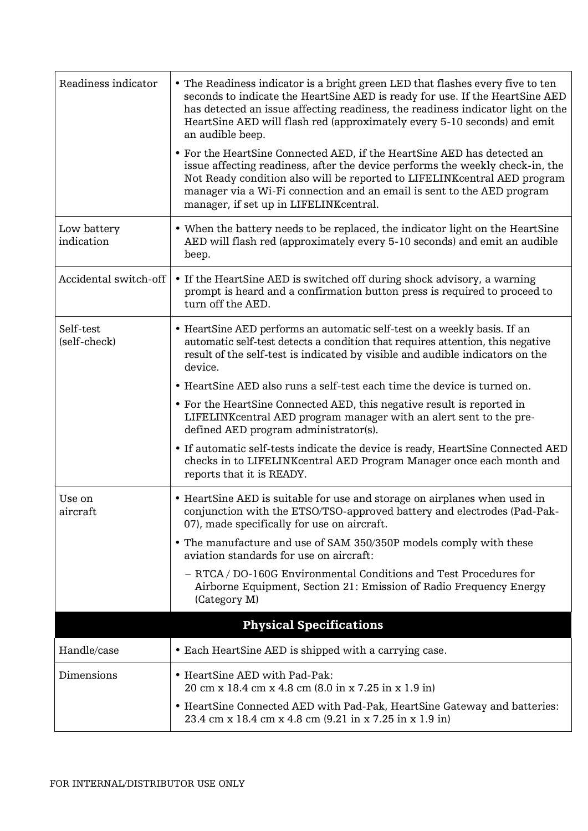| Readiness indicator       | • The Readiness indicator is a bright green LED that flashes every five to ten<br>seconds to indicate the HeartSine AED is ready for use. If the HeartSine AED<br>has detected an issue affecting readiness, the readiness indicator light on the<br>HeartSine AED will flash red (approximately every 5-10 seconds) and emit<br>an audible beep.         |
|---------------------------|-----------------------------------------------------------------------------------------------------------------------------------------------------------------------------------------------------------------------------------------------------------------------------------------------------------------------------------------------------------|
|                           | • For the HeartSine Connected AED, if the HeartSine AED has detected an<br>issue affecting readiness, after the device performs the weekly check-in, the<br>Not Ready condition also will be reported to LIFELINK central AED program<br>manager via a Wi-Fi connection and an email is sent to the AED program<br>manager, if set up in LIFELINKcentral. |
| Low battery<br>indication | • When the battery needs to be replaced, the indicator light on the HeartSine<br>AED will flash red (approximately every 5-10 seconds) and emit an audible<br>beep.                                                                                                                                                                                       |
| Accidental switch-off     | • If the HeartSine AED is switched off during shock advisory, a warning<br>prompt is heard and a confirmation button press is required to proceed to<br>turn off the AED.                                                                                                                                                                                 |
| Self-test<br>(self-check) | • HeartSine AED performs an automatic self-test on a weekly basis. If an<br>automatic self-test detects a condition that requires attention, this negative<br>result of the self-test is indicated by visible and audible indicators on the<br>device.                                                                                                    |
|                           | • HeartSine AED also runs a self-test each time the device is turned on.                                                                                                                                                                                                                                                                                  |
|                           | • For the HeartSine Connected AED, this negative result is reported in<br>LIFELINK central AED program manager with an alert sent to the pre-<br>defined AED program administrator(s).                                                                                                                                                                    |
|                           | • If automatic self-tests indicate the device is ready, HeartSine Connected AED<br>checks in to LIFELINKcentral AED Program Manager once each month and<br>reports that it is READY.                                                                                                                                                                      |
| Use on<br>aircraft        | • HeartSine AED is suitable for use and storage on airplanes when used in<br>conjunction with the ETSO/TSO-approved battery and electrodes (Pad-Pak-<br>07), made specifically for use on aircraft.                                                                                                                                                       |
|                           | • The manufacture and use of SAM 350/350P models comply with these<br>aviation standards for use on aircraft:                                                                                                                                                                                                                                             |
|                           | - RTCA / DO-160G Environmental Conditions and Test Procedures for<br>Airborne Equipment, Section 21: Emission of Radio Frequency Energy<br>(Category M)                                                                                                                                                                                                   |
|                           | <b>Physical Specifications</b>                                                                                                                                                                                                                                                                                                                            |
| Handle/case               | • Each HeartSine AED is shipped with a carrying case.                                                                                                                                                                                                                                                                                                     |
| Dimensions                | • HeartSine AED with Pad-Pak:<br>20 cm x 18.4 cm x 4.8 cm (8.0 in x 7.25 in x 1.9 in)                                                                                                                                                                                                                                                                     |
|                           | • HeartSine Connected AED with Pad-Pak, HeartSine Gateway and batteries:<br>23.4 cm x 18.4 cm x 4.8 cm (9.21 in x 7.25 in x 1.9 in)                                                                                                                                                                                                                       |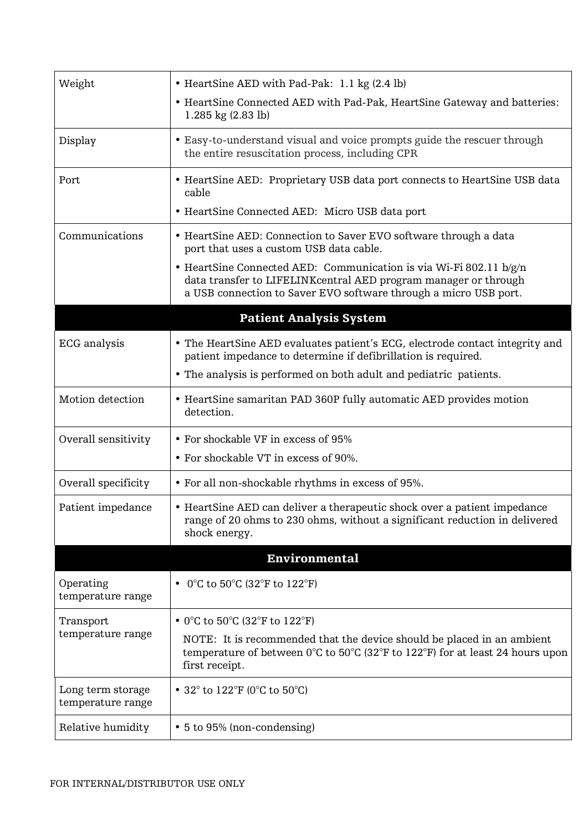| Weight                                 | • HeartSine AED with Pad-Pak: 1.1 kg (2.4 lb)                                                                                                                                                                       |
|----------------------------------------|---------------------------------------------------------------------------------------------------------------------------------------------------------------------------------------------------------------------|
|                                        | • HeartSine Connected AED with Pad-Pak, HeartSine Gateway and batteries:<br>1.285 kg $(2.83$ lb)                                                                                                                    |
| Display                                | • Easy-to-understand visual and voice prompts guide the rescuer through<br>the entire resuscitation process, including CPR                                                                                          |
| Port                                   | • HeartSine AED: Proprietary USB data port connects to HeartSine USB data<br>cable                                                                                                                                  |
|                                        | • HeartSine Connected AED: Micro USB data port                                                                                                                                                                      |
| Communications                         | • HeartSine AED: Connection to Saver EVO software through a data<br>port that uses a custom USB data cable.                                                                                                         |
|                                        | • HeartSine Connected AED: Communication is via Wi-Fi 802.11 b/g/n<br>data transfer to LIFELINKcentral AED program manager or through<br>a USB connection to Saver EVO software through a micro USB port.           |
|                                        | <b>Patient Analysis System</b>                                                                                                                                                                                      |
| <b>ECG</b> analysis                    | • The HeartSine AED evaluates patient's ECG, electrode contact integrity and<br>patient impedance to determine if defibrillation is required.                                                                       |
|                                        | • The analysis is performed on both adult and pediatric patients.                                                                                                                                                   |
| Motion detection                       | • HeartSine samaritan PAD 360P fully automatic AED provides motion<br>detection.                                                                                                                                    |
| Overall sensitivity                    | • For shockable VF in excess of 95%                                                                                                                                                                                 |
|                                        | • For shockable VT in excess of 90%.                                                                                                                                                                                |
| Overall specificity                    | • For all non-shockable rhythms in excess of 95%.                                                                                                                                                                   |
| Patient impedance                      | • HeartSine AED can deliver a therapeutic shock over a patient impedance<br>range of 20 ohms to 230 ohms, without a significant reduction in delivered<br>shock energy.                                             |
|                                        | <b>Environmental</b>                                                                                                                                                                                                |
| Operating<br>temperature range         | • 0°C to 50°C (32°F to $122$ °F)                                                                                                                                                                                    |
| Transport                              | • 0°C to 50°C (32°F to $122$ °F)                                                                                                                                                                                    |
| temperature range                      | NOTE: It is recommended that the device should be placed in an ambient<br>temperature of between $0^{\circ}$ C to $50^{\circ}$ C (32 $^{\circ}$ F to 122 $^{\circ}$ F) for at least 24 hours upon<br>first receipt. |
| Long term storage<br>temperature range | • 32 $^{\circ}$ to 122 $^{\circ}$ F (0 $^{\circ}$ C to 50 $^{\circ}$ C)                                                                                                                                             |
| Relative humidity                      | • 5 to 95% (non-condensing)                                                                                                                                                                                         |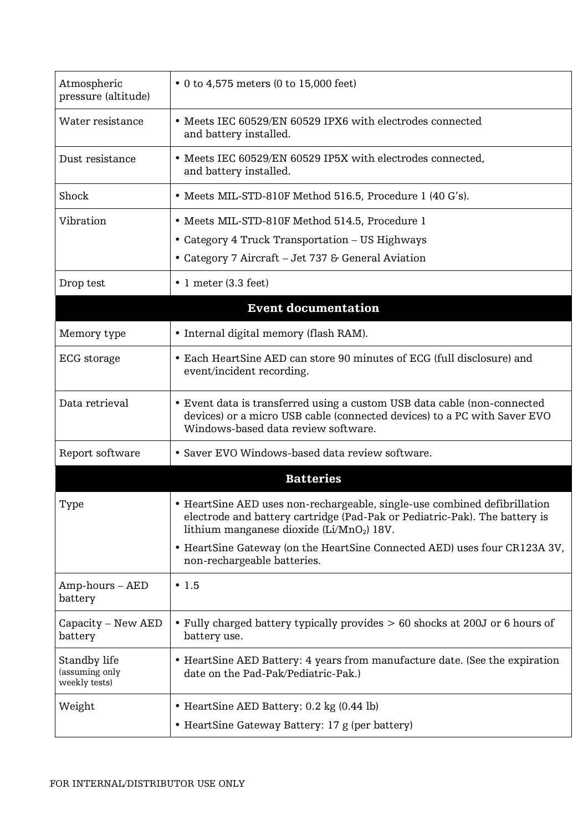| Atmospheric<br>pressure (altitude)              | • 0 to 4,575 meters (0 to 15,000 feet)                                                                                                                                                                           |
|-------------------------------------------------|------------------------------------------------------------------------------------------------------------------------------------------------------------------------------------------------------------------|
| Water resistance                                | • Meets IEC 60529/EN 60529 IPX6 with electrodes connected<br>and battery installed.                                                                                                                              |
| Dust resistance                                 | • Meets IEC 60529/EN 60529 IP5X with electrodes connected,<br>and battery installed.                                                                                                                             |
| Shock                                           | • Meets MIL-STD-810F Method 516.5, Procedure 1 (40 G's).                                                                                                                                                         |
| Vibration                                       | • Meets MIL-STD-810F Method 514.5, Procedure 1                                                                                                                                                                   |
|                                                 | • Category 4 Truck Transportation – US Highways                                                                                                                                                                  |
|                                                 | • Category 7 Aircraft - Jet 737 & General Aviation                                                                                                                                                               |
| Drop test                                       | $\bullet$ 1 meter (3.3 feet)                                                                                                                                                                                     |
|                                                 | <b>Event documentation</b>                                                                                                                                                                                       |
| Memory type                                     | • Internal digital memory (flash RAM).                                                                                                                                                                           |
| ECG storage                                     | • Each HeartSine AED can store 90 minutes of ECG (full disclosure) and<br>event/incident recording.                                                                                                              |
| Data retrieval                                  | • Event data is transferred using a custom USB data cable (non-connected<br>devices) or a micro USB cable (connected devices) to a PC with Saver EVO<br>Windows-based data review software.                      |
| Report software                                 | • Saver EVO Windows-based data review software.                                                                                                                                                                  |
|                                                 | <b>Batteries</b>                                                                                                                                                                                                 |
| Type                                            | • HeartSine AED uses non-rechargeable, single-use combined defibrillation<br>electrode and battery cartridge (Pad-Pak or Pediatric-Pak). The battery is<br>lithium manganese dioxide (Li/MnO <sub>2</sub> ) 18V. |
|                                                 | • HeartSine Gateway (on the HeartSine Connected AED) uses four CR123A 3V,<br>non-rechargeable batteries.                                                                                                         |
| $Amp$ -hours $-AED$<br>battery                  | $\cdot$ 1.5                                                                                                                                                                                                      |
| Capacity – New AED<br>battery                   | • Fully charged battery typically provides > 60 shocks at 200J or 6 hours of<br>battery use.                                                                                                                     |
| Standby life<br>(assuming only<br>weekly tests) | • HeartSine AED Battery: 4 years from manufacture date. (See the expiration<br>date on the Pad-Pak/Pediatric-Pak.)                                                                                               |
| Weight                                          | • HeartSine AED Battery: 0.2 kg (0.44 lb)                                                                                                                                                                        |
|                                                 | • HeartSine Gateway Battery: 17 g (per battery)                                                                                                                                                                  |
|                                                 |                                                                                                                                                                                                                  |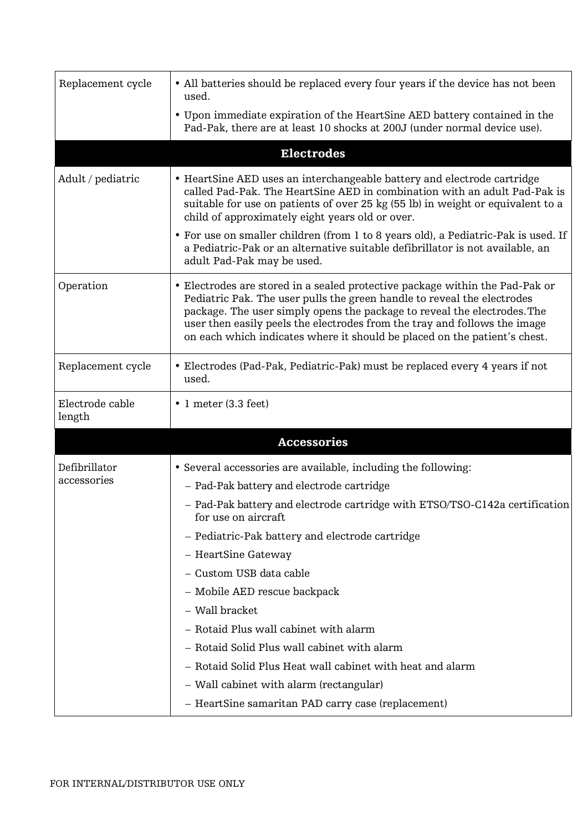| Replacement cycle         | • All batteries should be replaced every four years if the device has not been<br>used.                                                                                                                                                                                                                                                                                                       |
|---------------------------|-----------------------------------------------------------------------------------------------------------------------------------------------------------------------------------------------------------------------------------------------------------------------------------------------------------------------------------------------------------------------------------------------|
|                           | • Upon immediate expiration of the HeartSine AED battery contained in the<br>Pad-Pak, there are at least 10 shocks at 200J (under normal device use).                                                                                                                                                                                                                                         |
|                           | <b>Electrodes</b>                                                                                                                                                                                                                                                                                                                                                                             |
| Adult / pediatric         | • HeartSine AED uses an interchangeable battery and electrode cartridge<br>called Pad-Pak. The HeartSine AED in combination with an adult Pad-Pak is<br>suitable for use on patients of over 25 kg (55 lb) in weight or equivalent to a<br>child of approximately eight years old or over.                                                                                                    |
|                           | • For use on smaller children (from 1 to 8 years old), a Pediatric-Pak is used. If<br>a Pediatric-Pak or an alternative suitable defibrillator is not available, an<br>adult Pad-Pak may be used.                                                                                                                                                                                             |
| Operation                 | • Electrodes are stored in a sealed protective package within the Pad-Pak or<br>Pediatric Pak. The user pulls the green handle to reveal the electrodes<br>package. The user simply opens the package to reveal the electrodes. The<br>user then easily peels the electrodes from the tray and follows the image<br>on each which indicates where it should be placed on the patient's chest. |
| Replacement cycle         | • Electrodes (Pad-Pak, Pediatric-Pak) must be replaced every 4 years if not<br>used.                                                                                                                                                                                                                                                                                                          |
| Electrode cable<br>length | $\bullet$ 1 meter (3.3 feet)                                                                                                                                                                                                                                                                                                                                                                  |
|                           | <b>Accessories</b>                                                                                                                                                                                                                                                                                                                                                                            |
| Defibrillator             | • Several accessories are available, including the following:                                                                                                                                                                                                                                                                                                                                 |
| accessories               | - Pad-Pak battery and electrode cartridge                                                                                                                                                                                                                                                                                                                                                     |
|                           | - Pad-Pak battery and electrode cartridge with ETSO/TSO-C142a certification<br>for use on aircraft                                                                                                                                                                                                                                                                                            |
|                           | - Pediatric-Pak battery and electrode cartridge                                                                                                                                                                                                                                                                                                                                               |
|                           | - HeartSine Gateway                                                                                                                                                                                                                                                                                                                                                                           |
|                           | - Custom USB data cable                                                                                                                                                                                                                                                                                                                                                                       |
|                           | - Mobile AED rescue backpack                                                                                                                                                                                                                                                                                                                                                                  |
|                           | - Wall bracket                                                                                                                                                                                                                                                                                                                                                                                |
|                           | - Rotaid Plus wall cabinet with alarm                                                                                                                                                                                                                                                                                                                                                         |
|                           | - Rotaid Solid Plus wall cabinet with alarm                                                                                                                                                                                                                                                                                                                                                   |
|                           | - Rotaid Solid Plus Heat wall cabinet with heat and alarm                                                                                                                                                                                                                                                                                                                                     |
|                           | - Wall cabinet with alarm (rectangular)                                                                                                                                                                                                                                                                                                                                                       |
|                           | - HeartSine samaritan PAD carry case (replacement)                                                                                                                                                                                                                                                                                                                                            |
|                           |                                                                                                                                                                                                                                                                                                                                                                                               |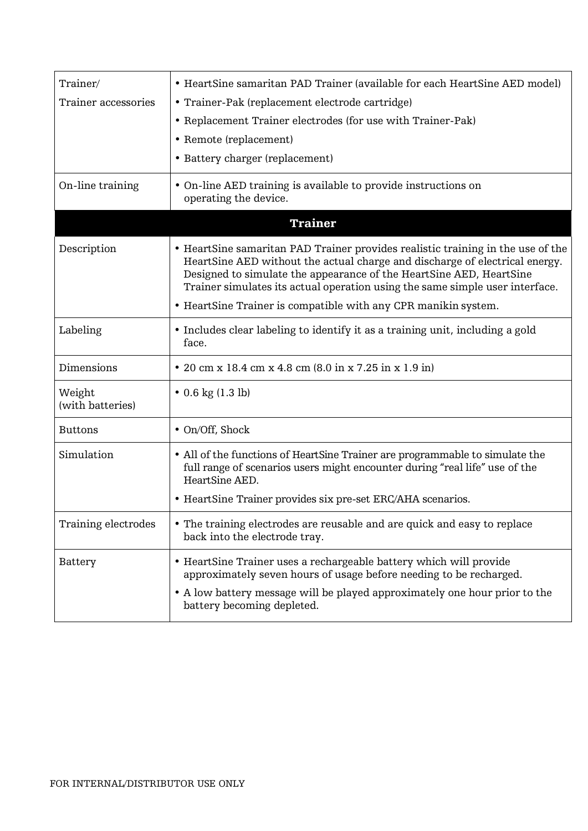| Trainer/                   | • HeartSine samaritan PAD Trainer (available for each HeartSine AED model)                                                                                                                                                                                                                                            |
|----------------------------|-----------------------------------------------------------------------------------------------------------------------------------------------------------------------------------------------------------------------------------------------------------------------------------------------------------------------|
| Trainer accessories        | • Trainer-Pak (replacement electrode cartridge)                                                                                                                                                                                                                                                                       |
|                            | • Replacement Trainer electrodes (for use with Trainer-Pak)                                                                                                                                                                                                                                                           |
|                            | • Remote (replacement)                                                                                                                                                                                                                                                                                                |
|                            | • Battery charger (replacement)                                                                                                                                                                                                                                                                                       |
| On-line training           | • On-line AED training is available to provide instructions on<br>operating the device.                                                                                                                                                                                                                               |
|                            | <b>Trainer</b>                                                                                                                                                                                                                                                                                                        |
| Description                | • HeartSine samaritan PAD Trainer provides realistic training in the use of the<br>HeartSine AED without the actual charge and discharge of electrical energy.<br>Designed to simulate the appearance of the HeartSine AED, HeartSine<br>Trainer simulates its actual operation using the same simple user interface. |
|                            | • HeartSine Trainer is compatible with any CPR manikin system.                                                                                                                                                                                                                                                        |
| Labeling                   | • Includes clear labeling to identify it as a training unit, including a gold<br>face.                                                                                                                                                                                                                                |
| Dimensions                 | • 20 cm x 18.4 cm x 4.8 cm (8.0 in x 7.25 in x 1.9 in)                                                                                                                                                                                                                                                                |
| Weight<br>(with batteries) | $\bullet$ 0.6 kg (1.3 lb)                                                                                                                                                                                                                                                                                             |
| <b>Buttons</b>             | • On/Off, Shock                                                                                                                                                                                                                                                                                                       |
| Simulation                 | • All of the functions of HeartSine Trainer are programmable to simulate the<br>full range of scenarios users might encounter during "real life" use of the<br>HeartSine AED.                                                                                                                                         |
|                            | • HeartSine Trainer provides six pre-set ERC/AHA scenarios.                                                                                                                                                                                                                                                           |
| Training electrodes        | • The training electrodes are reusable and are quick and easy to replace<br>back into the electrode tray.                                                                                                                                                                                                             |
| Battery                    | • HeartSine Trainer uses a rechargeable battery which will provide<br>approximately seven hours of usage before needing to be recharged.<br>• A low battery message will be played approximately one hour prior to the<br>battery becoming depleted.                                                                  |